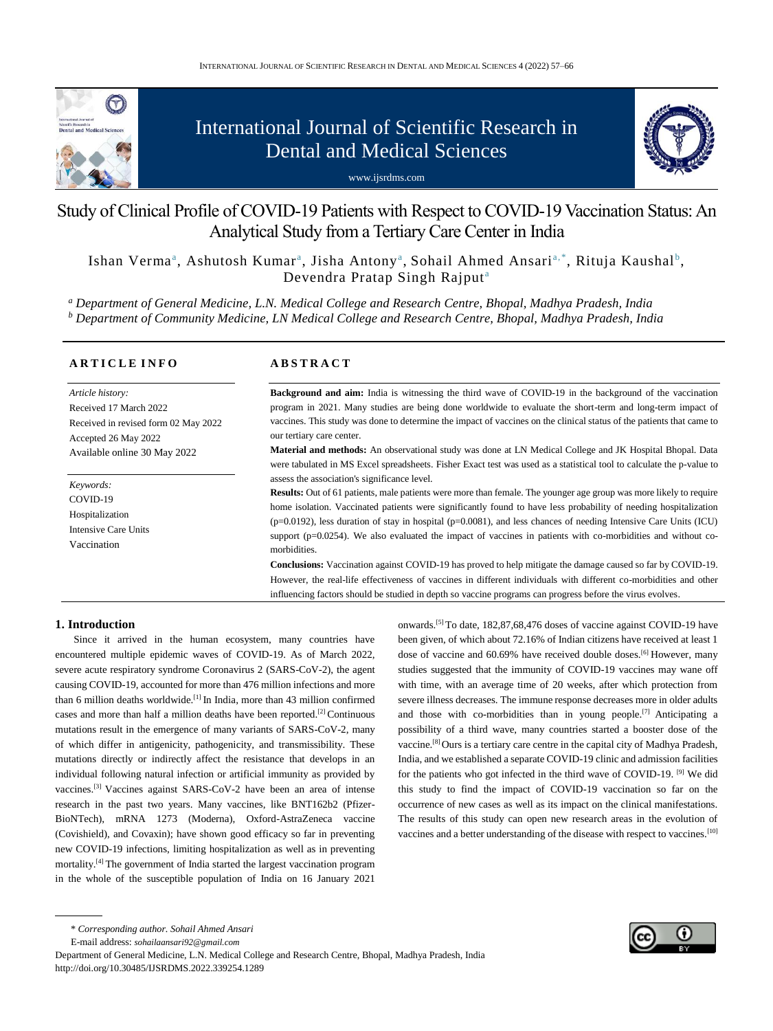

# International Journal of Scientific Research in Dental and Medical Sciences





## Study of Clinical Profile of COVID-19 Patients with Respect to COVID-19 Vaccination Status: An Analytical Study from a Tertiary Care Center in India

Ishan Verma<sup>a</sup>, Ashutosh Kumar<sup>a</sup>, Jisha Antony<sup>a</sup>, Sohail Ahmed Ansari<sup>a,\*</sup>, Rituja Kaushal<sup>b</sup>, Devendra Pratap Singh Rajput<sup>a</sup>

*<sup>a</sup> Department of General Medicine, L.N. Medical College and Research Centre, Bhopal, Madhya Pradesh, India <sup>b</sup> Department of Community Medicine, LN Medical College and Research Centre, Bhopal, Madhya Pradesh, India*

| <b>ARTICLE INFO</b>                                          | <b>ABSTRACT</b>                                                                                                                                                                                                                                                                          |
|--------------------------------------------------------------|------------------------------------------------------------------------------------------------------------------------------------------------------------------------------------------------------------------------------------------------------------------------------------------|
| Article history:                                             | <b>Background and aim:</b> India is witnessing the third wave of COVID-19 in the background of the vaccination                                                                                                                                                                           |
| Received 17 March 2022                                       | program in 2021. Many studies are being done worldwide to evaluate the short-term and long-term impact of                                                                                                                                                                                |
| Received in revised form 02 May 2022<br>Accepted 26 May 2022 | vaccines. This study was done to determine the impact of vaccines on the clinical status of the patients that came to<br>our tertiary care center.                                                                                                                                       |
| Available online 30 May 2022                                 | <b>Material and methods:</b> An observational study was done at LN Medical College and JK Hospital Bhopal. Data<br>were tabulated in MS Excel spreadsheets. Fisher Exact test was used as a statistical tool to calculate the p-value to<br>assess the association's significance level. |
| Keywords:<br>COVID-19<br>Hospitalization                     | <b>Results:</b> Out of 61 patients, male patients were more than female. The younger age group was more likely to require<br>home isolation. Vaccinated patients were significantly found to have less probability of needing hospitalization                                            |
| Intensive Care Units                                         | $(p=0.0192)$ , less duration of stay in hospital $(p=0.0081)$ , and less chances of needing Intensive Care Units (ICU)<br>support ( $p=0.0254$ ). We also evaluated the impact of vaccines in patients with co-morbidities and without co-                                               |
| Vaccination                                                  | morbidities.                                                                                                                                                                                                                                                                             |
|                                                              | <b>Conclusions:</b> Vaccination against COVID-19 has proved to help mitigate the damage caused so far by COVID-19.                                                                                                                                                                       |
|                                                              | However, the real-life effectiveness of vaccines in different individuals with different co-morbidities and other                                                                                                                                                                        |
|                                                              | influencing factors should be studied in depth so vaccine programs can progress before the virus evolves.                                                                                                                                                                                |

## **1. Introduction**

Since it arrived in the human ecosystem, many countries have encountered multiple epidemic waves of COVID-19. As of March 2022, severe acute respiratory syndrome Coronavirus 2 (SARS-CoV-2), the agent causing COVID-19, accounted for more than 476 million infections and more than 6 million deaths worldwide.[1] In India, more than 43 million confirmed cases and more than half a million deaths have been reported.[2] Continuous mutations result in the emergence of many variants of SARS-CoV-2, many of which differ in antigenicity, pathogenicity, and transmissibility. These mutations directly or indirectly affect the resistance that develops in an individual following natural infection or artificial immunity as provided by vaccines.[3] Vaccines against SARS-CoV-2 have been an area of intense research in the past two years. Many vaccines, like BNT162b2 (Pfizer-BioNTech), mRNA 1273 (Moderna), Oxford-AstraZeneca vaccine (Covishield), and Covaxin); have shown good efficacy so far in preventing new COVID-19 infections, limiting hospitalization as well as in preventing mortality.[4] The government of India started the largest vaccination program in the whole of the susceptible population of India on 16 January 2021

onwards.[5] To date, 182,87,68,476 doses of vaccine against COVID-19 have been given, of which about 72.16% of Indian citizens have received at least 1 dose of vaccine and 60.69% have received double doses.<sup>[6]</sup> However, many studies suggested that the immunity of COVID-19 vaccines may wane off with time, with an average time of 20 weeks, after which protection from severe illness decreases. The immune response decreases more in older adults and those with co-morbidities than in young people.<sup>[7]</sup> Anticipating a possibility of a third wave, many countries started a booster dose of the vaccine.[8] Ours is a tertiary care centre in the capital city of Madhya Pradesh, India, and we established a separate COVID-19 clinic and admission facilities for the patients who got infected in the third wave of COVID-19. [9] We did this study to find the impact of COVID-19 vaccination so far on the occurrence of new cases as well as its impact on the clinical manifestations. The results of this study can open new research areas in the evolution of vaccines and a better understanding of the disease with respect to vaccines.[10]

E-mail address: *sohailaansari92@gmail.com*

Department of General Medicine, L.N. Medical College and Research Centre, Bhopal, Madhya Pradesh, India http://doi.org/10.30485/IJSRDMS.2022.339254.1289



<sup>\*</sup> *Corresponding author. Sohail Ahmed Ansari*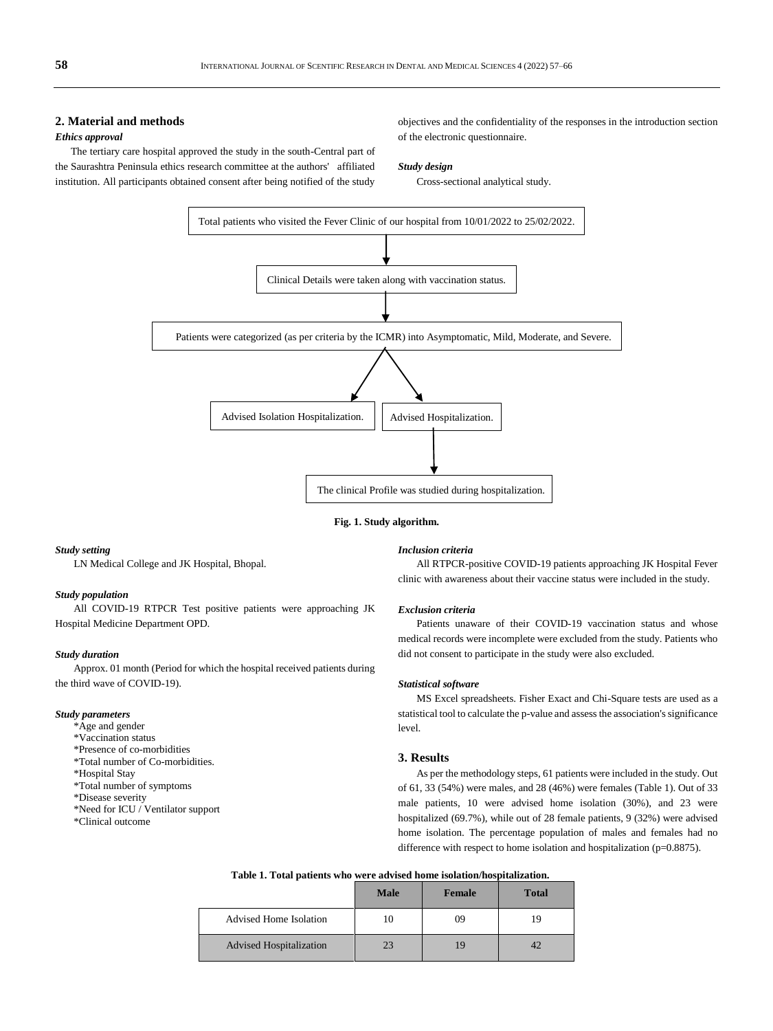## **2. Material and methods**

## *Ethics approval*

The tertiary care hospital approved the study in the south-Central part of the Saurashtra Peninsula ethics research committee at the authors' affiliated institution. All participants obtained consent after being notified of the study

objectives and the confidentiality of the responses in the introduction section of the electronic questionnaire.

#### *Study design*

Cross-sectional analytical study.



**Fig. 1. Study algorithm.**

## *Study setting*

LN Medical College and JK Hospital, Bhopal.

## *Study population*

All COVID-19 RTPCR Test positive patients were approaching JK Hospital Medicine Department OPD.

#### *Study duration*

Approx. 01 month (Period for which the hospital received patients during the third wave of COVID-19).

## *Study parameters*

- \*Age and gender
- \*Vaccination status
- \*Presence of co-morbidities
- \*Total number of Co-morbidities.
- \*Hospital Stay
- \*Total number of symptoms
- \*Disease severity
- \*Need for ICU / Ventilator support
- \*Clinical outcome

#### *Inclusion criteria*

All RTPCR-positive COVID-19 patients approaching JK Hospital Fever clinic with awareness about their vaccine status were included in the study.

#### *Exclusion criteria*

Patients unaware of their COVID-19 vaccination status and whose medical records were incomplete were excluded from the study. Patients who did not consent to participate in the study were also excluded.

#### *Statistical software*

MS Excel spreadsheets. Fisher Exact and Chi-Square tests are used as a statistical tool to calculate the p-value and assess the association's significance level.

## **3. Results**

As per the methodology steps, 61 patients were included in the study. Out of 61, 33 (54%) were males, and 28 (46%) were females (Table 1). Out of 33 male patients, 10 were advised home isolation (30%), and 23 were hospitalized (69.7%), while out of 28 female patients, 9 (32%) were advised home isolation. The percentage population of males and females had no difference with respect to home isolation and hospitalization (p=0.8875).

|                                | <b>Male</b> | <b>Female</b> | <b>Total</b> |
|--------------------------------|-------------|---------------|--------------|
| Advised Home Isolation         | 10          | 09            | ۱9           |
| <b>Advised Hospitalization</b> | 23          | 19            |              |

## **Table 1. Total patients who were advised home isolation/hospitalization.**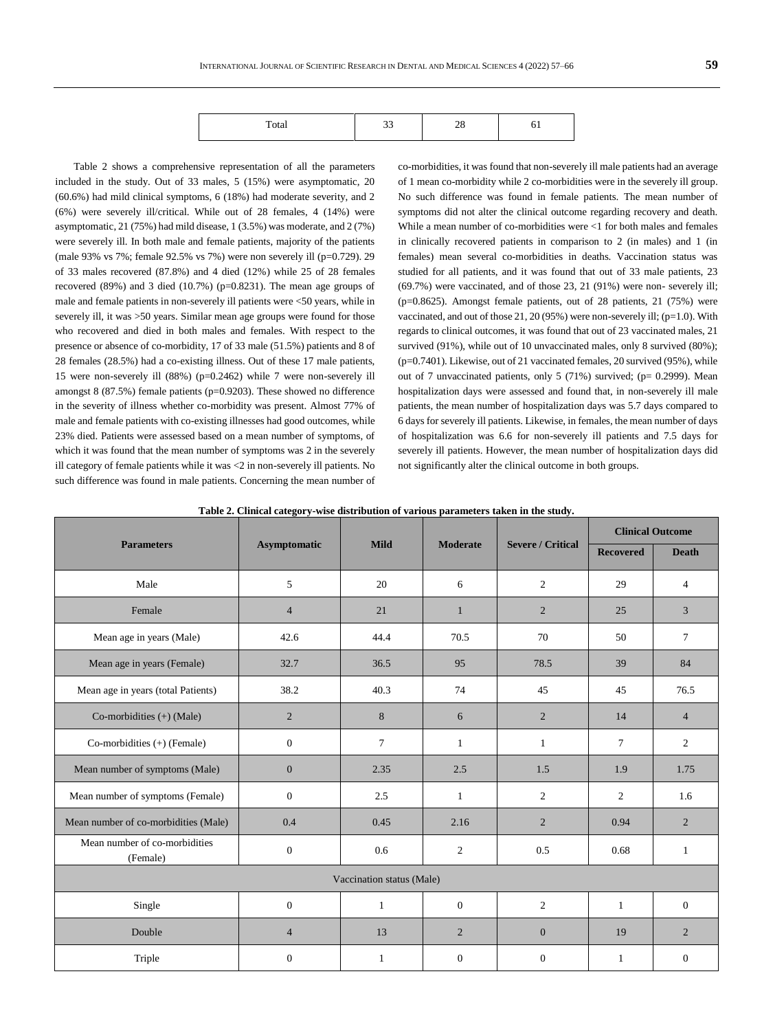| $\sim$ to |  |  |
|-----------|--|--|

Table 2 shows a comprehensive representation of all the parameters included in the study. Out of 33 males, 5 (15%) were asymptomatic, 20 (60.6%) had mild clinical symptoms, 6 (18%) had moderate severity, and 2 (6%) were severely ill/critical. While out of 28 females, 4 (14%) were asymptomatic, 21 (75%) had mild disease, 1 (3.5%) was moderate, and 2 (7%) were severely ill. In both male and female patients, majority of the patients (male 93% vs 7%; female 92.5% vs 7%) were non severely ill (p=0.729). 29 of 33 males recovered (87.8%) and 4 died (12%) while 25 of 28 females recovered (89%) and 3 died (10.7%) (p=0.8231). The mean age groups of male and female patients in non-severely ill patients were <50 years, while in severely ill, it was >50 years. Similar mean age groups were found for those who recovered and died in both males and females. With respect to the presence or absence of co-morbidity, 17 of 33 male (51.5%) patients and 8 of 28 females (28.5%) had a co-existing illness. Out of these 17 male patients, 15 were non-severely ill (88%) (p=0.2462) while 7 were non-severely ill amongst 8 (87.5%) female patients (p=0.9203). These showed no difference in the severity of illness whether co-morbidity was present. Almost 77% of male and female patients with co-existing illnesses had good outcomes, while 23% died. Patients were assessed based on a mean number of symptoms, of which it was found that the mean number of symptoms was 2 in the severely ill category of female patients while it was <2 in non-severely ill patients. No such difference was found in male patients. Concerning the mean number of

co-morbidities, it was found that non-severely ill male patients had an average of 1 mean co-morbidity while 2 co-morbidities were in the severely ill group. No such difference was found in female patients. The mean number of symptoms did not alter the clinical outcome regarding recovery and death. While a mean number of co-morbidities were <1 for both males and females in clinically recovered patients in comparison to 2 (in males) and 1 (in females) mean several co-morbidities in deaths. Vaccination status was studied for all patients, and it was found that out of 33 male patients, 23 (69.7%) were vaccinated, and of those 23, 21 (91%) were non- severely ill; (p=0.8625). Amongst female patients, out of 28 patients, 21 (75%) were vaccinated, and out of those  $21, 20$  (95%) were non-severely ill; (p=1.0). With regards to clinical outcomes, it was found that out of 23 vaccinated males, 21 survived (91%), while out of 10 unvaccinated males, only 8 survived (80%); (p=0.7401). Likewise, out of 21 vaccinated females, 20 survived (95%), while out of 7 unvaccinated patients, only 5 (71%) survived; (p= 0.2999). Mean hospitalization days were assessed and found that, in non-severely ill male patients, the mean number of hospitalization days was 5.7 days compared to 6 days for severely ill patients. Likewise, in females, the mean number of days of hospitalization was 6.6 for non-severely ill patients and 7.5 days for severely ill patients. However, the mean number of hospitalization days did not significantly alter the clinical outcome in both groups.

| Table 2. Clinical category-wise distribution of various parameters taken in the study. |  |  |  |
|----------------------------------------------------------------------------------------|--|--|--|
|                                                                                        |  |  |  |

|                                           |                     |                           |                 |                          | <b>Clinical Outcome</b> |                |  |  |  |  |
|-------------------------------------------|---------------------|---------------------------|-----------------|--------------------------|-------------------------|----------------|--|--|--|--|
| <b>Parameters</b>                         | <b>Asymptomatic</b> | <b>Mild</b>               | <b>Moderate</b> | <b>Severe / Critical</b> | <b>Recovered</b>        | <b>Death</b>   |  |  |  |  |
| Male                                      | 5                   | 20                        | 6               | 2                        | 29                      | $\overline{4}$ |  |  |  |  |
| Female                                    | $\overline{4}$      | 21                        | $\mathbf{1}$    | $\overline{2}$           | 25                      | 3              |  |  |  |  |
| Mean age in years (Male)                  | 42.6                | 44.4                      | 70.5            | 70                       | 50                      | $\tau$         |  |  |  |  |
| Mean age in years (Female)                | 32.7                | 36.5                      | 95              | 78.5                     | 39                      | 84             |  |  |  |  |
| Mean age in years (total Patients)        | 38.2                | 40.3                      | 74              | 45                       | 45                      | 76.5           |  |  |  |  |
| Co-morbidities $(+)$ (Male)               | 2                   | 8                         | 6               | $\overline{2}$           | 14                      | $\overline{4}$ |  |  |  |  |
| Co-morbidities $(+)$ (Female)             | $\mathbf{0}$        | $\tau$                    | $\mathbf{1}$    | $\mathbf{1}$             | $7\phantom{.0}$         | $\overline{2}$ |  |  |  |  |
| Mean number of symptoms (Male)            | $\mathbf{0}$        | 2.35                      | 2.5             | 1.5                      | 1.9                     | 1.75           |  |  |  |  |
| Mean number of symptoms (Female)          | $\mathbf{0}$        | 2.5                       | $\mathbf{1}$    | $\overline{2}$           | 2                       | 1.6            |  |  |  |  |
| Mean number of co-morbidities (Male)      | 0.4                 | 0.45                      | 2.16            | $\overline{2}$           | 0.94                    | $\overline{2}$ |  |  |  |  |
| Mean number of co-morbidities<br>(Female) | $\boldsymbol{0}$    | 0.6                       | 2               | 0.5                      | 0.68                    | 1              |  |  |  |  |
|                                           |                     | Vaccination status (Male) |                 |                          |                         |                |  |  |  |  |
| Single                                    | $\mathbf{0}$        | $\mathbf{1}$              | $\mathbf{0}$    | $\mathfrak{2}$           | $\mathbf{1}$            | $\overline{0}$ |  |  |  |  |
| Double                                    | $\overline{4}$      | 13                        | $\overline{2}$  | $\mathbf{0}$             | 19                      | $\overline{2}$ |  |  |  |  |
| Triple                                    | $\boldsymbol{0}$    | 1                         | $\mathbf{0}$    | $\overline{0}$           | 1                       | $\overline{0}$ |  |  |  |  |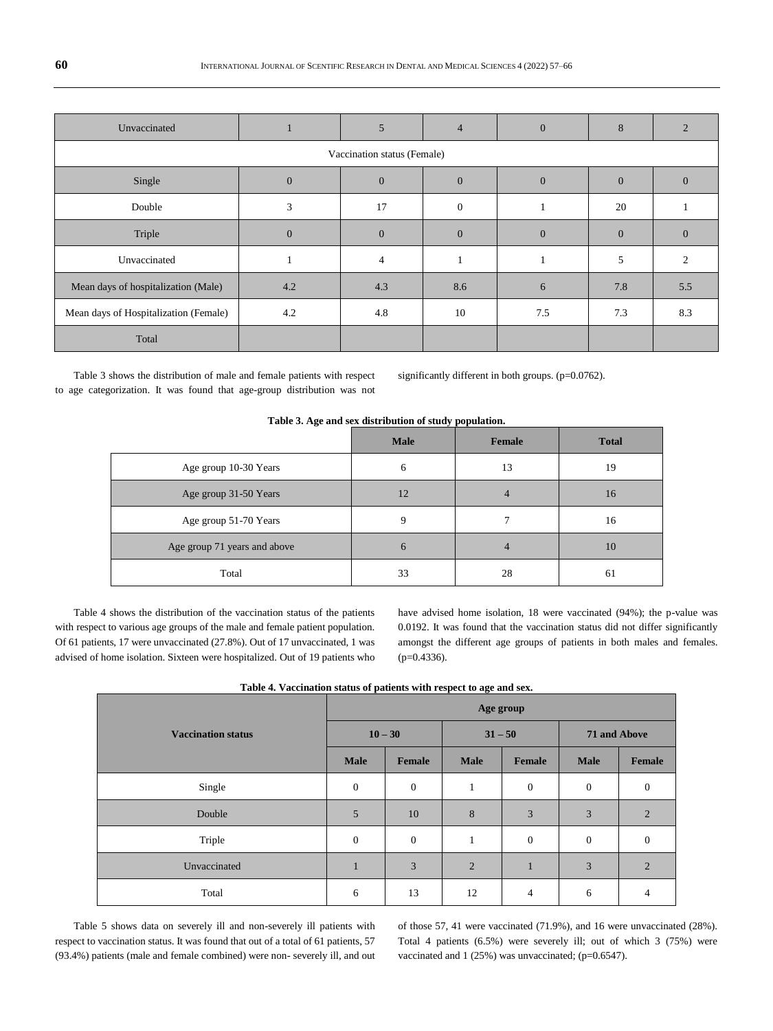| Unvaccinated                          |              | 5                           | $\overline{4}$ | $\mathbf{0}$ | 8        |                |
|---------------------------------------|--------------|-----------------------------|----------------|--------------|----------|----------------|
|                                       |              | Vaccination status (Female) |                |              |          |                |
| Single                                | $\mathbf{0}$ | $\theta$                    | $\overline{0}$ | $\mathbf{0}$ | $\Omega$ | $\Omega$       |
| Double                                | 3            | 17                          | $\theta$       |              | 20       |                |
| Triple                                | $\mathbf{0}$ | $\Omega$                    | $\Omega$       | $\Omega$     | $\Omega$ | $\Omega$       |
| Unvaccinated                          |              | $\overline{4}$              |                |              | 5        | $\mathfrak{D}$ |
| Mean days of hospitalization (Male)   | 4.2          | 4.3                         | 8.6            | 6            | 7.8      | 5.5            |
| Mean days of Hospitalization (Female) | 4.2          | 4.8                         | 10             | 7.5          | 7.3      | 8.3            |
| Total                                 |              |                             |                |              |          |                |

Table 3 shows the distribution of male and female patients with respect to age categorization. It was found that age-group distribution was not significantly different in both groups. (p=0.0762).

|                              | Table 3. Age and sex distribution of study population. |        |              |
|------------------------------|--------------------------------------------------------|--------|--------------|
|                              | <b>Male</b>                                            | Female | <b>Total</b> |
| Age group 10-30 Years        | 6                                                      | 13     | 19           |
| Age group 31-50 Years        | 12                                                     |        | 16           |
| Age group 51-70 Years        | 9                                                      |        | 16           |
| Age group 71 years and above | 6                                                      | 4      | 10           |
| Total                        | 33                                                     | 28     | 61           |

Table 4 shows the distribution of the vaccination status of the patients with respect to various age groups of the male and female patient population. Of 61 patients, 17 were unvaccinated (27.8%). Out of 17 unvaccinated, 1 was advised of home isolation. Sixteen were hospitalized. Out of 19 patients who have advised home isolation, 18 were vaccinated (94%); the p-value was 0.0192. It was found that the vaccination status did not differ significantly amongst the different age groups of patients in both males and females. (p=0.4336).

| Tubic in vaccination status of patients with respect to age and sext |               |              |                |                  |                  |  |  |  |  |  |  |  |  |
|----------------------------------------------------------------------|---------------|--------------|----------------|------------------|------------------|--|--|--|--|--|--|--|--|
| Age group                                                            |               |              |                |                  |                  |  |  |  |  |  |  |  |  |
|                                                                      |               |              |                | 71 and Above     |                  |  |  |  |  |  |  |  |  |
| <b>Male</b>                                                          | <b>Female</b> | <b>Male</b>  | Female         | <b>Male</b>      | Female           |  |  |  |  |  |  |  |  |
| $\boldsymbol{0}$                                                     | $\mathbf{0}$  | $\mathbf{1}$ | $\mathbf{0}$   | $\mathbf{0}$     | $\mathbf{0}$     |  |  |  |  |  |  |  |  |
| 5                                                                    | 10            | 8            | 3              | 3                | $\overline{2}$   |  |  |  |  |  |  |  |  |
| $\boldsymbol{0}$                                                     | $\mathbf{0}$  | $\mathbf{1}$ | $\mathbf{0}$   | $\boldsymbol{0}$ | $\boldsymbol{0}$ |  |  |  |  |  |  |  |  |
| $\mathbf{1}$                                                         | 3             | 2            | $\mathbf{1}$   | 3                | $\overline{2}$   |  |  |  |  |  |  |  |  |
| 6                                                                    | 13            | 12           | $\overline{4}$ | 6                | 4                |  |  |  |  |  |  |  |  |
|                                                                      |               | $10 - 30$    |                | $31 - 50$        |                  |  |  |  |  |  |  |  |  |

Table 5 shows data on severely ill and non-severely ill patients with respect to vaccination status. It was found that out of a total of 61 patients, 57 (93.4%) patients (male and female combined) were non- severely ill, and out of those 57, 41 were vaccinated (71.9%), and 16 were unvaccinated (28%). Total 4 patients (6.5%) were severely ill; out of which 3 (75%) were vaccinated and 1 (25%) was unvaccinated; (p=0.6547).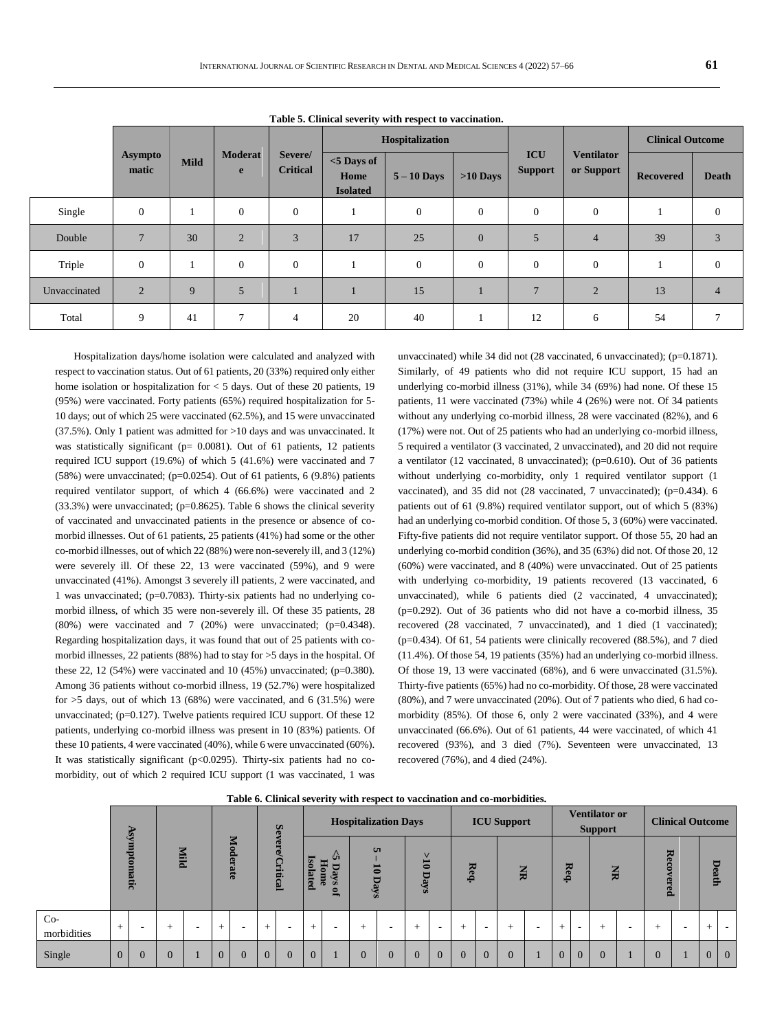|              |                         |             |                     |                            |                                          | Tube of Chinem beverly when respect to vacemental<br>Hospitalization |                  |                              |                                 | <b>Clinical Outcome</b> |              |  |  |
|--------------|-------------------------|-------------|---------------------|----------------------------|------------------------------------------|----------------------------------------------------------------------|------------------|------------------------------|---------------------------------|-------------------------|--------------|--|--|
|              | <b>Asympto</b><br>matic | <b>Mild</b> | <b>Moderat</b><br>e | Severe/<br><b>Critical</b> | $<$ 5 Days of<br>Home<br><b>Isolated</b> | $5 - 10$ Days                                                        | $>10$ Days       | <b>ICU</b><br><b>Support</b> | <b>Ventilator</b><br>or Support | <b>Recovered</b>        | <b>Death</b> |  |  |
| Single       | $\mathbf{0}$            |             | $\mathbf{0}$        | $\mathbf{0}$               |                                          | $\mathbf{0}$                                                         | $\theta$         | $\theta$                     | $\mathbf{0}$                    |                         | $\Omega$     |  |  |
| Double       | $\overline{7}$          | 30          | $\overline{2}$      | 3                          | 17                                       | 25                                                                   | $\overline{0}$   | 5                            | $\overline{4}$                  | 39                      |              |  |  |
| Triple       | $\mathbf{0}$            |             | $\mathbf{0}$        | $\overline{0}$             |                                          | $\mathbf{0}$                                                         | $\boldsymbol{0}$ | $\mathbf{0}$                 | $\mathbf{0}$                    |                         | $\theta$     |  |  |
| Unvaccinated | $\overline{2}$          | 9           | 5                   |                            |                                          | 15                                                                   |                  | $\overline{7}$               | $\overline{2}$                  | 13                      |              |  |  |
| Total        | 9                       | 41          | $\overline{7}$      | 4                          | 20                                       | 40                                                                   |                  | 12                           | 6                               | 54                      |              |  |  |

**Table 5. Clinical severity with respect to vaccination.**

Hospitalization days/home isolation were calculated and analyzed with respect to vaccination status. Out of 61 patients, 20 (33%) required only either home isolation or hospitalization for < 5 days. Out of these 20 patients, 19 (95%) were vaccinated. Forty patients (65%) required hospitalization for 5- 10 days; out of which 25 were vaccinated (62.5%), and 15 were unvaccinated (37.5%). Only 1 patient was admitted for >10 days and was unvaccinated. It was statistically significant (p= 0.0081). Out of 61 patients, 12 patients required ICU support (19.6%) of which 5 (41.6%) were vaccinated and 7 (58%) were unvaccinated; (p=0.0254). Out of 61 patients, 6  $(9.8\%)$  patients required ventilator support, of which 4 (66.6%) were vaccinated and 2  $(33.3%)$  were unvaccinated; (p=0.8625). Table 6 shows the clinical severity of vaccinated and unvaccinated patients in the presence or absence of comorbid illnesses. Out of 61 patients, 25 patients (41%) had some or the other co-morbid illnesses, out of which 22 (88%) were non-severely ill, and 3 (12%) were severely ill. Of these 22, 13 were vaccinated (59%), and 9 were unvaccinated (41%). Amongst 3 severely ill patients, 2 were vaccinated, and 1 was unvaccinated; (p=0.7083). Thirty-six patients had no underlying comorbid illness, of which 35 were non-severely ill. Of these 35 patients, 28  $(80\%)$  were vaccinated and 7  $(20\%)$  were unvaccinated;  $(p=0.4348)$ . Regarding hospitalization days, it was found that out of 25 patients with comorbid illnesses, 22 patients (88%) had to stay for >5 days in the hospital. Of these 22, 12 (54%) were vaccinated and 10 (45%) unvaccinated; ( $p=0.380$ ). Among 36 patients without co-morbid illness, 19 (52.7%) were hospitalized for  $>5$  days, out of which 13 (68%) were vaccinated, and 6 (31.5%) were unvaccinated;  $(p=0.127)$ . Twelve patients required ICU support. Of these 12 patients, underlying co-morbid illness was present in 10 (83%) patients. Of these 10 patients, 4 were vaccinated (40%), while 6 were unvaccinated (60%). It was statistically significant (p<0.0295). Thirty-six patients had no comorbidity, out of which 2 required ICU support (1 was vaccinated, 1 was

unvaccinated) while 34 did not (28 vaccinated, 6 unvaccinated); (p=0.1871). Similarly, of 49 patients who did not require ICU support, 15 had an underlying co-morbid illness (31%), while 34 (69%) had none. Of these 15 patients, 11 were vaccinated (73%) while 4 (26%) were not. Of 34 patients without any underlying co-morbid illness, 28 were vaccinated (82%), and 6 (17%) were not. Out of 25 patients who had an underlying co-morbid illness, 5 required a ventilator (3 vaccinated, 2 unvaccinated), and 20 did not require a ventilator (12 vaccinated, 8 unvaccinated); (p=0.610). Out of 36 patients without underlying co-morbidity, only 1 required ventilator support (1 vaccinated), and 35 did not (28 vaccinated, 7 unvaccinated); (p=0.434). 6 patients out of 61 (9.8%) required ventilator support, out of which 5 (83%) had an underlying co-morbid condition. Of those 5, 3 (60%) were vaccinated. Fifty-five patients did not require ventilator support. Of those 55, 20 had an underlying co-morbid condition (36%), and 35 (63%) did not. Of those 20, 12 (60%) were vaccinated, and 8 (40%) were unvaccinated. Out of 25 patients with underlying co-morbidity, 19 patients recovered (13 vaccinated, 6 unvaccinated), while 6 patients died (2 vaccinated, 4 unvaccinated); (p=0.292). Out of 36 patients who did not have a co-morbid illness, 35 recovered (28 vaccinated, 7 unvaccinated), and 1 died (1 vaccinated); (p=0.434). Of 61, 54 patients were clinically recovered (88.5%), and 7 died (11.4%). Of those 54, 19 patients (35%) had an underlying co-morbid illness. Of those 19, 13 were vaccinated (68%), and 6 were unvaccinated (31.5%). Thirty-five patients (65%) had no co-morbidity. Of those, 28 were vaccinated (80%), and 7 were unvaccinated (20%). Out of 7 patients who died, 6 had comorbidity (85%). Of those 6, only 2 were vaccinated (33%), and 4 were unvaccinated (66.6%). Out of 61 patients, 44 were vaccinated, of which 41 recovered (93%), and 3 died (7%). Seventeen were unvaccinated, 13 recovered (76%), and 4 died (24%).

|                      |                   |   |      |   |                |                |                | Se             |                                                                           |  | <b>Hospitalization Days</b> |                |                |                |          |              | <b>ICU Support</b>      |                          |                |                          | <b>Ventilator or</b><br><b>Support</b> |                          |                | <b>Clinical Outcome</b> |        |                 |  |
|----------------------|-------------------|---|------|---|----------------|----------------|----------------|----------------|---------------------------------------------------------------------------|--|-----------------------------|----------------|----------------|----------------|----------|--------------|-------------------------|--------------------------|----------------|--------------------------|----------------------------------------|--------------------------|----------------|-------------------------|--------|-----------------|--|
|                      | mysy<br>Ē<br>atic |   | Mild |   | Moderate       |                | Э<br>Critical  |                | Uī<br><b>G</b><br><b>Home</b><br><b>olated</b><br>Days<br>$\bullet$<br>m. |  | <b>u</b><br>5<br>Days       |                | Ë<br>Days      |                | Req.     |              | $\overline{\mathbf{z}}$ |                          | Re<br>م.       |                          | $\Xi$                                  |                          | Reco<br>ered   |                         |        | Death           |  |
| $Co-$<br>morbidities | $^{+}$            | - | $+$  | ۰ | $^{+}$         | -              | $+$            |                | $+$                                                                       |  | $^{+}$                      |                | $+$            |                | $\pm$    | -            | $^{+}$                  | $\overline{\phantom{a}}$ | $\pm$          | $\overline{\phantom{a}}$ | $^{+}$                                 | $\overline{\phantom{a}}$ | $+$            | $\sim$                  | $^{+}$ | $\sim$          |  |
| Single               | $\overline{0}$    |   |      |   | $\overline{0}$ | $\overline{0}$ | $\overline{0}$ | $\overline{0}$ | $\mathbf{0}$                                                              |  | $\theta$                    | $\overline{0}$ | $\overline{0}$ | $\overline{0}$ | $\theta$ | $\mathbf{0}$ | $\theta$                |                          | $\overline{0}$ | $\overline{0}$           | $\theta$                               |                          | $\overline{0}$ |                         | v      | $\vert 0 \vert$ |  |

**Table 6. Clinical severity with respect to vaccination and co-morbidities.**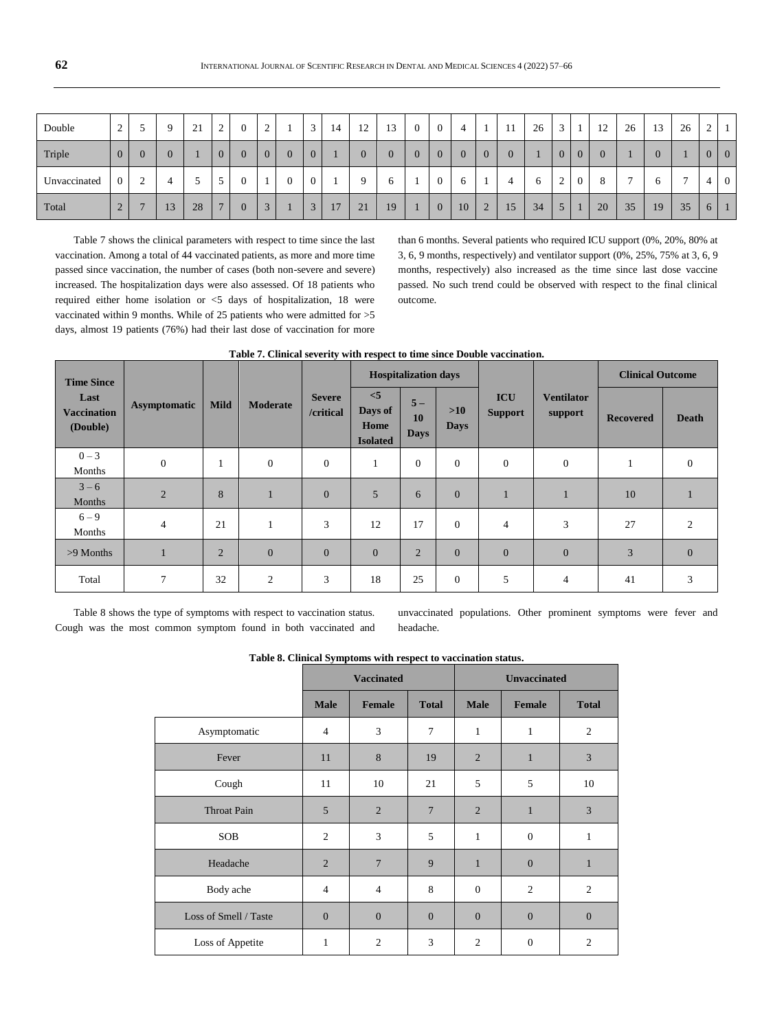| Double       | $\sim$<br>∼    |        | $\Omega$ | 21<br>∠. | $\sim$<br>∼     | $\overline{0}$ | $\sim$<br>∸ |          | $\sqrt{2}$<br> | 14 | 12<br>$\overline{1}$ | 13             | U |    |   | 11 | 26     | $\sim$<br>-<br>د |   | 12<br>$\overline{1}$ | 26                       | 13 | 26 | C<br>∠         |                |
|--------------|----------------|--------|----------|----------|-----------------|----------------|-------------|----------|----------------|----|----------------------|----------------|---|----|---|----|--------|------------------|---|----------------------|--------------------------|----|----|----------------|----------------|
| Triple       | $\overline{0}$ |        |          |          |                 |                |             | $\theta$ | υ              |    |                      | $\overline{0}$ |   | 0  |   | 0  |        | ν                | U |                      |                          |    |    | $\overline{0}$ | $\overline{0}$ |
| Unvaccinated | $\overline{0}$ | ⌒<br>∸ | 4        |          | $\epsilon$<br>ر | $\theta$       |             |          |                |    | Q                    | $\sigma$       | U | 6  |   |    | 6<br>U | $\sim$<br>∼      | U |                      | $\overline{\phantom{0}}$ |    | -  | 4              | $\overline{0}$ |
| Total        | 2              |        | 13       | 28       | -               |                | $\sim$      |          | $\sim$<br>w    | 17 | 21                   | 19             | U | 10 | s | 15 | 34     | ◡                |   | 20                   | 35                       | 19 | 35 | 6              |                |

Table 7 shows the clinical parameters with respect to time since the last vaccination. Among a total of 44 vaccinated patients, as more and more time passed since vaccination, the number of cases (both non-severe and severe) increased. The hospitalization days were also assessed. Of 18 patients who required either home isolation or <5 days of hospitalization, 18 were vaccinated within 9 months. While of 25 patients who were admitted for >5 days, almost 19 patients (76%) had their last dose of vaccination for more than 6 months. Several patients who required ICU support (0%, 20%, 80% at 3, 6, 9 months, respectively) and ventilator support (0%, 25%, 75% at 3, 6, 9 months, respectively) also increased as the time since last dose vaccine passed. No such trend could be observed with respect to the final clinical outcome.

| <b>Time Since</b>                      |                     |             |                 |                            |                                           | <b>Hospitalization days</b>      |                      |                              |                              | <b>Clinical Outcome</b> |                |
|----------------------------------------|---------------------|-------------|-----------------|----------------------------|-------------------------------------------|----------------------------------|----------------------|------------------------------|------------------------------|-------------------------|----------------|
| Last<br><b>Vaccination</b><br>(Double) | <b>Asymptomatic</b> | <b>Mild</b> | <b>Moderate</b> | <b>Severe</b><br>/critical | < 5<br>Days of<br>Home<br><b>Isolated</b> | $5-$<br><b>10</b><br><b>Days</b> | $>10$<br><b>Days</b> | <b>ICU</b><br><b>Support</b> | <b>Ventilator</b><br>support | <b>Recovered</b>        | <b>Death</b>   |
| $0 - 3$<br>Months                      | $\mathbf{0}$        | 1           | $\mathbf{0}$    | $\theta$                   | 1                                         | $\Omega$                         | $\theta$             | $\overline{0}$               | $\boldsymbol{0}$             |                         | $\mathbf{0}$   |
| $3 - 6$<br>Months                      | $\overline{2}$      | 8           | 1               | $\mathbf{0}$               | 5                                         | 6                                | $\theta$             |                              |                              | 10                      |                |
| $6 - 9$<br>Months                      | $\overline{4}$      | 21          | 1               | 3                          | 12                                        | 17                               | $\Omega$             | $\overline{4}$               | 3                            | 27                      | $\overline{2}$ |
| $>9$ Months                            | ш                   | 2           | $\overline{0}$  | $\overline{0}$             | $\overline{0}$                            | $\overline{2}$                   | $\overline{0}$       | $\overline{0}$               | $\mathbf{0}$                 | 3                       | $\theta$       |
| Total                                  | 7                   | 32          | $\overline{c}$  | 3                          | 18                                        | 25                               | $\theta$             | 5                            | $\overline{4}$               | 41                      | 3              |

## **Table 7. Clinical severity with respect to time since Double vaccination.**

Table 8 shows the type of symptoms with respect to vaccination status. Cough was the most common symptom found in both vaccinated and unvaccinated populations. Other prominent symptoms were fever and headache.

|  | Table 8. Clinical Symptoms with respect to vaccination status. |  |  |  |
|--|----------------------------------------------------------------|--|--|--|
|  |                                                                |  |  |  |

|                       |                | <b>Vaccinated</b> |                | <b>Unvaccinated</b> |                |                |  |  |
|-----------------------|----------------|-------------------|----------------|---------------------|----------------|----------------|--|--|
|                       | <b>Male</b>    | <b>Female</b>     | <b>Total</b>   | <b>Male</b>         | <b>Female</b>  | <b>Total</b>   |  |  |
| Asymptomatic          | $\overline{4}$ | 3                 | 7              | 1                   | 1              | 2              |  |  |
| Fever                 | 11             | 8                 | 19             | $\overline{2}$      | $\mathbf{1}$   | 3              |  |  |
| Cough                 | 11             | 10                | 21             | 5                   | 5              | 10             |  |  |
| <b>Throat Pain</b>    | 5              | $\overline{2}$    | $\overline{7}$ | $\overline{2}$      | $\mathbf{1}$   | 3              |  |  |
| <b>SOB</b>            | $\overline{2}$ | 3                 | 5              | $\mathbf{1}$        | $\mathbf{0}$   | 1              |  |  |
| Headache              | $\overline{2}$ | $\overline{7}$    | 9              | $\mathbf{1}$        | $\mathbf{0}$   | $\mathbf{1}$   |  |  |
| Body ache             | $\overline{4}$ | $\overline{4}$    | 8              | $\mathbf{0}$        | $\overline{c}$ | $\overline{2}$ |  |  |
| Loss of Smell / Taste | $\overline{0}$ | $\overline{0}$    | $\overline{0}$ | $\overline{0}$      | $\overline{0}$ | $\mathbf{0}$   |  |  |
| Loss of Appetite      | 1              | 2                 | 3              | $\overline{2}$      | $\mathbf{0}$   | $\overline{2}$ |  |  |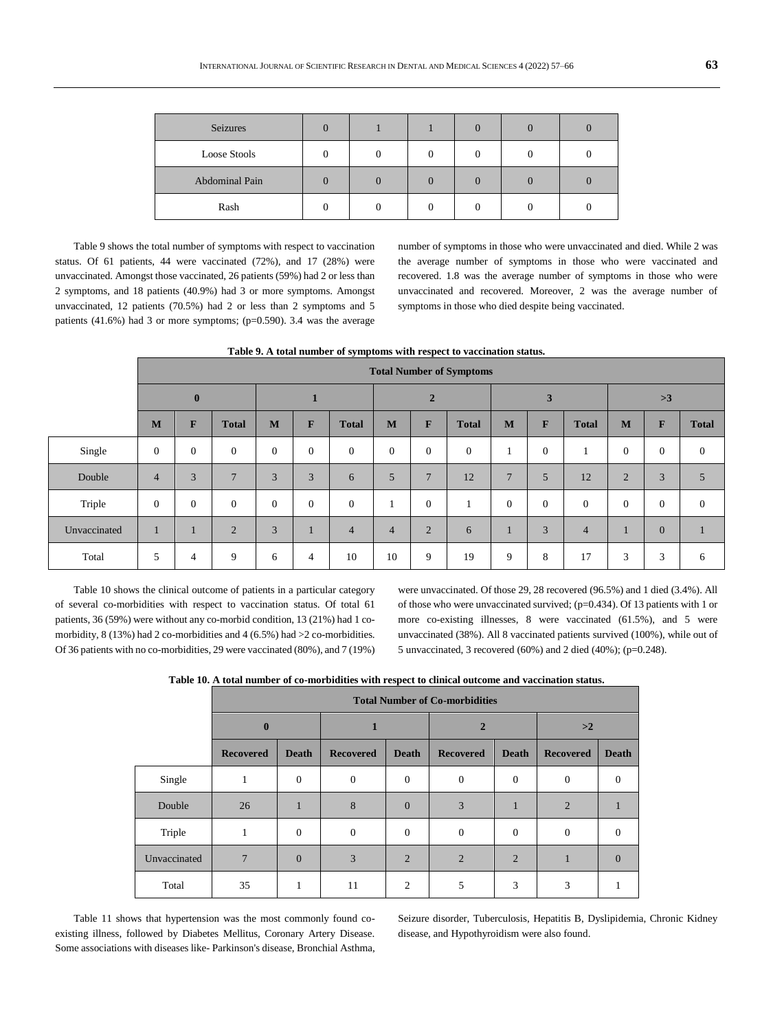| Seizures       |  |  | C |  |
|----------------|--|--|---|--|
| Loose Stools   |  |  |   |  |
| Abdominal Pain |  |  |   |  |
| Rash           |  |  |   |  |

Table 9 shows the total number of symptoms with respect to vaccination status. Of 61 patients, 44 were vaccinated (72%), and 17 (28%) were unvaccinated. Amongst those vaccinated, 26 patients (59%) had 2 or less than 2 symptoms, and 18 patients (40.9%) had 3 or more symptoms. Amongst unvaccinated, 12 patients (70.5%) had 2 or less than 2 symptoms and 5 patients (41.6%) had 3 or more symptoms; (p=0.590). 3.4 was the average

number of symptoms in those who were unvaccinated and died. While 2 was the average number of symptoms in those who were vaccinated and recovered. 1.8 was the average number of symptoms in those who were unvaccinated and recovered. Moreover, 2 was the average number of symptoms in those who died despite being vaccinated.

|  | Table 9. A total number of symptoms with respect to vaccination status. |  |
|--|-------------------------------------------------------------------------|--|
|--|-------------------------------------------------------------------------|--|

|              | <b>Total Number of Symptoms</b> |              |                |          |          |                |                |                |                |                 |              |                |                |                |                |
|--------------|---------------------------------|--------------|----------------|----------|----------|----------------|----------------|----------------|----------------|-----------------|--------------|----------------|----------------|----------------|----------------|
|              | $\bf{0}$                        |              |                |          | ш        |                |                | $\overline{2}$ |                |                 | 3            |                |                |                |                |
|              | M                               | F            | <b>Total</b>   | M        | F        | <b>Total</b>   | M              | $\mathbf{F}$   | <b>Total</b>   | M               | F            | <b>Total</b>   | M              | F              | <b>Total</b>   |
| Single       | $\mathbf{0}$                    | $\mathbf{0}$ | $\theta$       | $\theta$ | $\Omega$ | $\mathbf{0}$   | $\overline{0}$ | $\mathbf{0}$   | $\overline{0}$ |                 | $\mathbf{0}$ |                | $\mathbf{0}$   | $\overline{0}$ | $\overline{0}$ |
| Double       | $\overline{4}$                  | 3            | $\overline{7}$ | 3        | 3        | 6              | 5              | $\overline{7}$ | 12             | $7\phantom{.0}$ | 5            | 12             | $\overline{2}$ | 3              | $\overline{5}$ |
| Triple       | $\theta$                        | $\mathbf{0}$ | $\theta$       | $\Omega$ | $\Omega$ | $\mathbf{0}$   |                | $\mathbf{0}$   | -1             | $\Omega$        | $\Omega$     | $\theta$       | $\mathbf{0}$   | $\overline{0}$ | $\overline{0}$ |
| Unvaccinated | ш                               |              | $\overline{2}$ | 3        |          | $\overline{4}$ | $\overline{4}$ | $\overline{2}$ | 6              | ш               | 3            | $\overline{4}$ |                | $\overline{0}$ |                |
| Total        | 5                               | 4            | 9              | 6        | 4        | 10             | 10             | 9              | 19             | 9               | 8            | 17             | 3              | 3              | 6              |

Table 10 shows the clinical outcome of patients in a particular category of several co-morbidities with respect to vaccination status. Of total 61 patients, 36 (59%) were without any co-morbid condition, 13 (21%) had 1 comorbidity, 8 (13%) had 2 co-morbidities and 4 (6.5%) had >2 co-morbidities. Of 36 patients with no co-morbidities, 29 were vaccinated (80%), and 7 (19%)

were unvaccinated. Of those 29, 28 recovered (96.5%) and 1 died (3.4%). All of those who were unvaccinated survived; (p=0.434). Of 13 patients with 1 or more co-existing illnesses, 8 were vaccinated (61.5%), and 5 were unvaccinated (38%). All 8 vaccinated patients survived (100%), while out of 5 unvaccinated, 3 recovered (60%) and 2 died (40%); (p=0.248).

**Table 10. A total number of co-morbidities with respect to clinical outcome and vaccination status.**

|              | <b>Total Number of Co-morbidities</b> |                |                  |                |                  |                |                  |              |  |  |  |  |  |
|--------------|---------------------------------------|----------------|------------------|----------------|------------------|----------------|------------------|--------------|--|--|--|--|--|
|              | $\mathbf{0}$                          |                |                  |                |                  |                | >2               |              |  |  |  |  |  |
|              | <b>Recovered</b>                      | <b>Death</b>   | <b>Recovered</b> |                | <b>Recovered</b> | <b>Death</b>   | <b>Recovered</b> | <b>Death</b> |  |  |  |  |  |
| Single       | 1                                     | $\overline{0}$ | $\theta$         | $\overline{0}$ | $\theta$         | $\theta$       | $\overline{0}$   | $\Omega$     |  |  |  |  |  |
| Double       | 26                                    |                | 8                | $\overline{0}$ | 3                |                | $\overline{2}$   |              |  |  |  |  |  |
| Triple       | 1                                     | $\mathbf{0}$   | $\boldsymbol{0}$ | $\overline{0}$ | $\theta$         | $\mathbf{0}$   | $\overline{0}$   |              |  |  |  |  |  |
| Unvaccinated | 7                                     | $\Omega$       | 3                | $\overline{2}$ | $\overline{2}$   | $\overline{2}$ |                  | $\Omega$     |  |  |  |  |  |
| Total        | 35                                    |                | 11               | 2              | 5                | 3              | 3                |              |  |  |  |  |  |

Table 11 shows that hypertension was the most commonly found coexisting illness, followed by Diabetes Mellitus, Coronary Artery Disease. Some associations with diseases like- Parkinson's disease, Bronchial Asthma,

Seizure disorder, Tuberculosis, Hepatitis B, Dyslipidemia, Chronic Kidney disease, and Hypothyroidism were also found.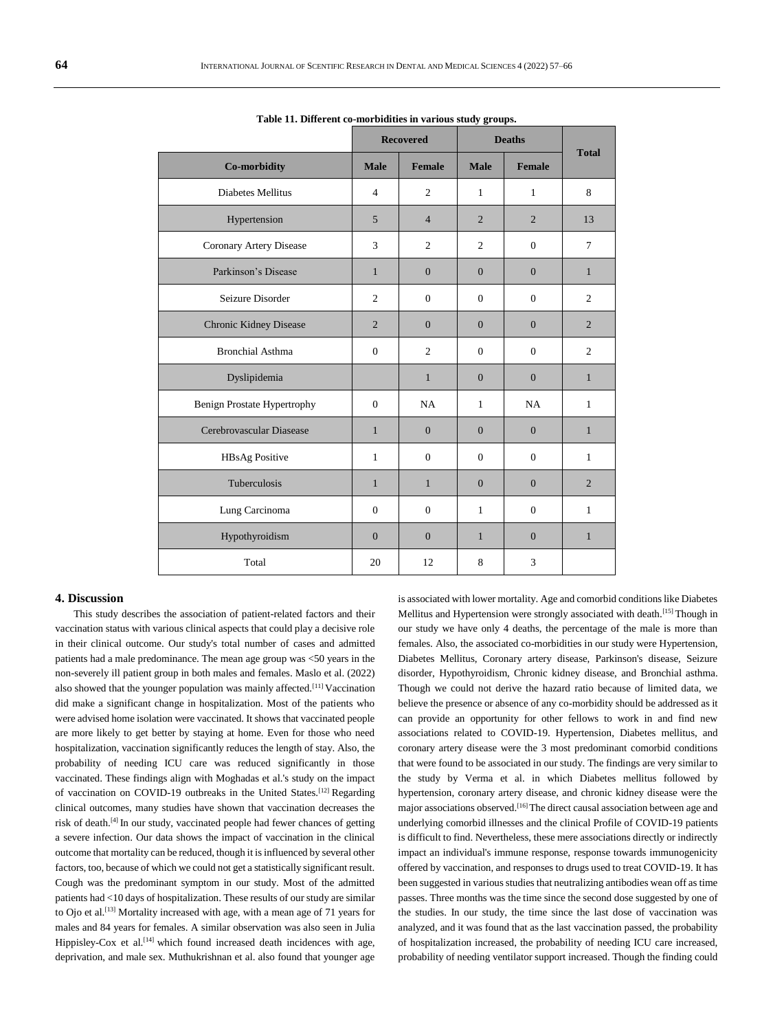|                             |                | <b>Recovered</b> |                | <b>Deaths</b>  |                |  |
|-----------------------------|----------------|------------------|----------------|----------------|----------------|--|
| Co-morbidity                | <b>Male</b>    | <b>Female</b>    | <b>Male</b>    | Female         | <b>Total</b>   |  |
| <b>Diabetes Mellitus</b>    | $\overline{4}$ | $\overline{c}$   | $\mathbf{1}$   | $\mathbf{1}$   | 8              |  |
| Hypertension                | $\overline{5}$ | $\overline{4}$   | $\overline{2}$ | $\overline{2}$ | 13             |  |
| Coronary Artery Disease     | 3              | $\overline{2}$   | $\overline{c}$ | $\Omega$       | $\tau$         |  |
| Parkinson's Disease         | $\mathbf{1}$   | $\theta$         | $\mathbf{0}$   | $\mathbf{0}$   | $\mathbf{1}$   |  |
| Seizure Disorder            | 2              | $\mathbf{0}$     | $\Omega$       | $\Omega$       | $\overline{c}$ |  |
| Chronic Kidney Disease      | $\overline{2}$ | $\Omega$         | $\Omega$       | $\Omega$       | $\overline{c}$ |  |
| <b>Bronchial Asthma</b>     | $\mathbf{0}$   | $\overline{2}$   | $\Omega$       | $\mathbf{0}$   | $\overline{2}$ |  |
| Dyslipidemia                |                | $\mathbf{1}$     | $\Omega$       | $\Omega$       | $\mathbf{1}$   |  |
| Benign Prostate Hypertrophy | $\Omega$       | <b>NA</b>        | $\mathbf{1}$   | NA             | $\mathbf{1}$   |  |
| Cerebrovascular Diasease    | $\mathbf{1}$   | $\overline{0}$   | $\overline{0}$ | $\overline{0}$ | $\mathbf{1}$   |  |
| HBsAg Positive              | $\mathbf{1}$   | $\mathbf{0}$     | $\mathbf{0}$   | $\mathbf{0}$   | 1              |  |
| Tuberculosis                | $\mathbf{1}$   | $\mathbf{1}$     | $\mathbf{0}$   | $\mathbf{0}$   | $\overline{2}$ |  |
| Lung Carcinoma              | $\Omega$       | $\overline{0}$   | 1              | $\mathbf{0}$   | $\mathbf{1}$   |  |
| Hypothyroidism              | $\Omega$       | $\overline{0}$   | $\mathbf{1}$   | $\overline{0}$ | $\mathbf{1}$   |  |
| Total                       | 20             | 12               | 8              | 3              |                |  |

**Table 11. Different co-morbidities in various study groups.**

## **4. Discussion**

This study describes the association of patient-related factors and their vaccination status with various clinical aspects that could play a decisive role in their clinical outcome. Our study's total number of cases and admitted patients had a male predominance. The mean age group was <50 years in the non-severely ill patient group in both males and females. Maslo et al. (2022) also showed that the younger population was mainly affected.[11] Vaccination did make a significant change in hospitalization. Most of the patients who were advised home isolation were vaccinated. It shows that vaccinated people are more likely to get better by staying at home. Even for those who need hospitalization, vaccination significantly reduces the length of stay. Also, the probability of needing ICU care was reduced significantly in those vaccinated. These findings align with Moghadas et al.'s study on the impact of vaccination on COVID-19 outbreaks in the United States.[12] Regarding clinical outcomes, many studies have shown that vaccination decreases the risk of death.<sup>[4]</sup> In our study, vaccinated people had fewer chances of getting a severe infection. Our data shows the impact of vaccination in the clinical outcome that mortality can be reduced, though it is influenced by several other factors, too, because of which we could not get a statistically significant result. Cough was the predominant symptom in our study. Most of the admitted patients had <10 days of hospitalization. These results of our study are similar to Ojo et al.<sup>[13]</sup> Mortality increased with age, with a mean age of 71 years for males and 84 years for females. A similar observation was also seen in Julia Hippisley-Cox et al.<sup>[14]</sup> which found increased death incidences with age, deprivation, and male sex. Muthukrishnan et al. also found that younger age

is associated with lower mortality. Age and comorbid conditions like Diabetes Mellitus and Hypertension were strongly associated with death.<sup>[15]</sup> Though in our study we have only 4 deaths, the percentage of the male is more than females. Also, the associated co-morbidities in our study were Hypertension, Diabetes Mellitus, Coronary artery disease, Parkinson's disease, Seizure disorder, Hypothyroidism, Chronic kidney disease, and Bronchial asthma. Though we could not derive the hazard ratio because of limited data, we believe the presence or absence of any co-morbidity should be addressed as it can provide an opportunity for other fellows to work in and find new associations related to COVID-19. Hypertension, Diabetes mellitus, and coronary artery disease were the 3 most predominant comorbid conditions that were found to be associated in our study. The findings are very similar to the study by Verma et al. in which Diabetes mellitus followed by hypertension, coronary artery disease, and chronic kidney disease were the major associations observed.<sup>[16]</sup>The direct causal association between age and underlying comorbid illnesses and the clinical Profile of COVID-19 patients is difficult to find. Nevertheless, these mere associations directly or indirectly impact an individual's immune response, response towards immunogenicity offered by vaccination, and responses to drugs used to treat COVID-19. It has been suggested in various studies that neutralizing antibodies wean off as time passes. Three months was the time since the second dose suggested by one of the studies. In our study, the time since the last dose of vaccination was analyzed, and it was found that as the last vaccination passed, the probability of hospitalization increased, the probability of needing ICU care increased, probability of needing ventilator support increased. Though the finding could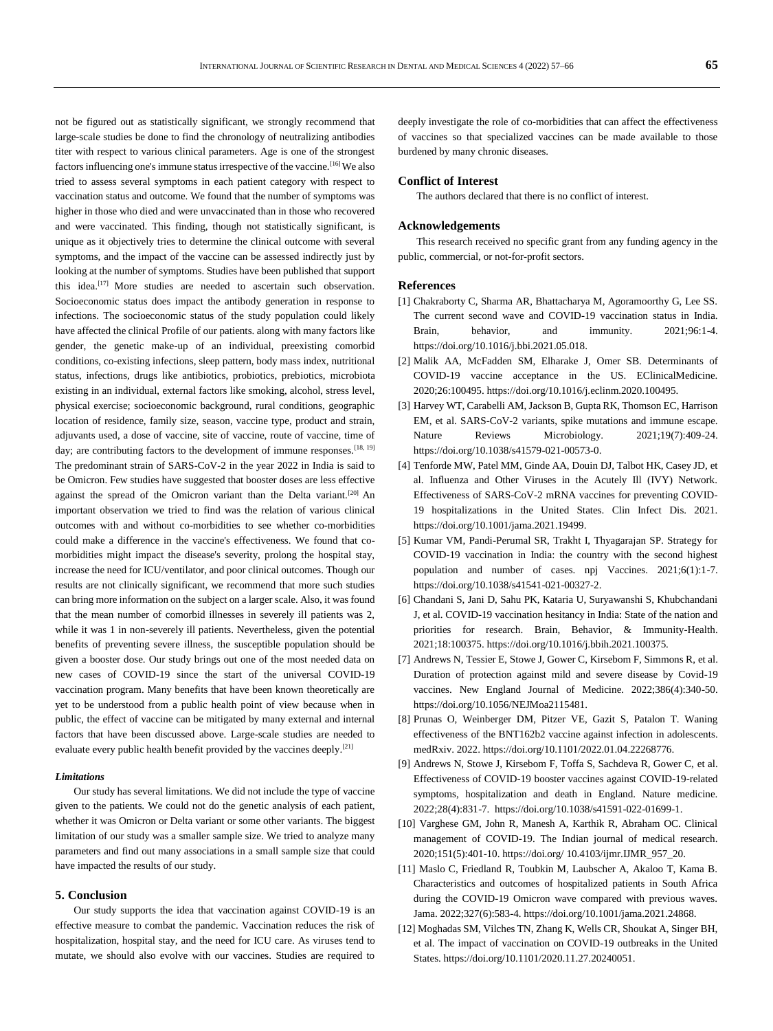not be figured out as statistically significant, we strongly recommend that large-scale studies be done to find the chronology of neutralizing antibodies titer with respect to various clinical parameters. Age is one of the strongest factors influencing one's immune status irrespective of the vaccine.<sup>[16]</sup> We also tried to assess several symptoms in each patient category with respect to vaccination status and outcome. We found that the number of symptoms was higher in those who died and were unvaccinated than in those who recovered and were vaccinated. This finding, though not statistically significant, is unique as it objectively tries to determine the clinical outcome with several symptoms, and the impact of the vaccine can be assessed indirectly just by looking at the number of symptoms. Studies have been published that support this idea.<sup>[17]</sup> More studies are needed to ascertain such observation. Socioeconomic status does impact the antibody generation in response to infections. The socioeconomic status of the study population could likely have affected the clinical Profile of our patients. along with many factors like gender, the genetic make-up of an individual, preexisting comorbid conditions, co-existing infections, sleep pattern, body mass index, nutritional status, infections, drugs like antibiotics, probiotics, prebiotics, microbiota existing in an individual, external factors like smoking, alcohol, stress level, physical exercise; socioeconomic background, rural conditions, geographic location of residence, family size, season, vaccine type, product and strain, adjuvants used, a dose of vaccine, site of vaccine, route of vaccine, time of day; are contributing factors to the development of immune responses.  $^{[18, 19]}$ The predominant strain of SARS-CoV-2 in the year 2022 in India is said to be Omicron. Few studies have suggested that booster doses are less effective against the spread of the Omicron variant than the Delta variant.<sup>[20]</sup> An important observation we tried to find was the relation of various clinical outcomes with and without co-morbidities to see whether co-morbidities could make a difference in the vaccine's effectiveness. We found that comorbidities might impact the disease's severity, prolong the hospital stay, increase the need for ICU/ventilator, and poor clinical outcomes. Though our results are not clinically significant, we recommend that more such studies can bring more information on the subject on a larger scale. Also, it was found that the mean number of comorbid illnesses in severely ill patients was 2, while it was 1 in non-severely ill patients. Nevertheless, given the potential benefits of preventing severe illness, the susceptible population should be given a booster dose. Our study brings out one of the most needed data on new cases of COVID-19 since the start of the universal COVID-19 vaccination program. Many benefits that have been known theoretically are yet to be understood from a public health point of view because when in public, the effect of vaccine can be mitigated by many external and internal factors that have been discussed above. Large-scale studies are needed to evaluate every public health benefit provided by the vaccines deeply. [21]

## *Limitations*

Our study has several limitations. We did not include the type of vaccine given to the patients. We could not do the genetic analysis of each patient, whether it was Omicron or Delta variant or some other variants. The biggest limitation of our study was a smaller sample size. We tried to analyze many parameters and find out many associations in a small sample size that could have impacted the results of our study.

#### **5. Conclusion**

Our study supports the idea that vaccination against COVID-19 is an effective measure to combat the pandemic. Vaccination reduces the risk of hospitalization, hospital stay, and the need for ICU care. As viruses tend to mutate, we should also evolve with our vaccines. Studies are required to deeply investigate the role of co-morbidities that can affect the effectiveness of vaccines so that specialized vaccines can be made available to those burdened by many chronic diseases.

## **Conflict of Interest**

The authors declared that there is no conflict of interest.

#### **Acknowledgements**

This research received no specific grant from any funding agency in the public, commercial, or not-for-profit sectors.

## **References**

- [1] Chakraborty C, Sharma AR, Bhattacharya M, Agoramoorthy G, Lee SS. The current second wave and COVID-19 vaccination status in India. Brain, behavior, and immunity.  $2021;96:1-4$ . https://doi.org/10.1016/j.bbi.2021.05.018.
- [2] Malik AA, McFadden SM, Elharake J, Omer SB. Determinants of COVID-19 vaccine acceptance in the US. EClinicalMedicine. 2020;26:100495. https://doi.org/10.1016/j.eclinm.2020.100495.
- [3] Harvey WT, Carabelli AM, Jackson B, Gupta RK, Thomson EC, Harrison EM, et al. SARS-CoV-2 variants, spike mutations and immune escape. Nature Reviews Microbiology. 2021;19(7):409-24. https://doi.org/10.1038/s41579-021-00573-0.
- [4] Tenforde MW, Patel MM, Ginde AA, Douin DJ, Talbot HK, Casey JD, et al. Influenza and Other Viruses in the Acutely Ill (IVY) Network. Effectiveness of SARS-CoV-2 mRNA vaccines for preventing COVID-19 hospitalizations in the United States. Clin Infect Dis. 2021. https://doi.org/10.1001/jama.2021.19499.
- [5] Kumar VM, Pandi-Perumal SR, Trakht I, Thyagarajan SP. Strategy for COVID-19 vaccination in India: the country with the second highest population and number of cases. npj Vaccines. 2021;6(1):1-7. https://doi.org/10.1038/s41541-021-00327-2.
- [6] Chandani S, Jani D, Sahu PK, Kataria U, Suryawanshi S, Khubchandani J, et al. COVID-19 vaccination hesitancy in India: State of the nation and priorities for research. Brain, Behavior, & Immunity-Health. 2021;18:100375. https://doi.org/10.1016/j.bbih.2021.100375.
- [7] Andrews N, Tessier E, Stowe J, Gower C, Kirsebom F, Simmons R, et al. Duration of protection against mild and severe disease by Covid-19 vaccines. New England Journal of Medicine. 2022;386(4):340-50. https://doi.org/10.1056/NEJMoa2115481.
- [8] Prunas O, Weinberger DM, Pitzer VE, Gazit S, Patalon T. Waning effectiveness of the BNT162b2 vaccine against infection in adolescents. medRxiv. 2022. https://doi.org/10.1101/2022.01.04.22268776.
- [9] Andrews N, Stowe J, Kirsebom F, Toffa S, Sachdeva R, Gower C, et al. Effectiveness of COVID-19 booster vaccines against COVID-19-related symptoms, hospitalization and death in England. Nature medicine. 2022;28(4):831-7. https://doi.org/10.1038/s41591-022-01699-1.
- [10] Varghese GM, John R, Manesh A, Karthik R, Abraham OC. Clinical management of COVID-19. The Indian journal of medical research. 2020;151(5):401-10. https://doi.org/ 10.4103/ijmr.IJMR\_957\_20.
- [11] Maslo C, Friedland R, Toubkin M, Laubscher A, Akaloo T, Kama B. Characteristics and outcomes of hospitalized patients in South Africa during the COVID-19 Omicron wave compared with previous waves. Jama. 2022;327(6):583-4. https://doi.org/10.1001/jama.2021.24868.
- [12] Moghadas SM, Vilches TN, Zhang K, Wells CR, Shoukat A, Singer BH, et al. The impact of vaccination on COVID-19 outbreaks in the United States. https://doi.org/10.1101/2020.11.27.20240051.